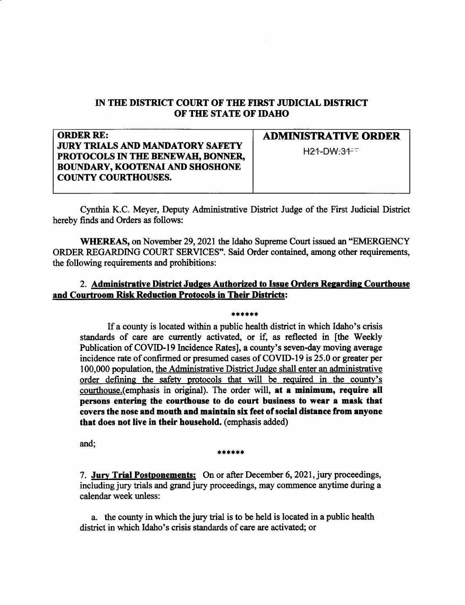## IN THE DISTRICT COURT OF THE FIRST JUDICIAL DISTRICT OF THE STATE OF IDAHO

| <b>ORDER RE:</b>                        | <b>ADMINISTRATIVE ORDER</b> |
|-----------------------------------------|-----------------------------|
| <b>JURY TRIALS AND MANDATORY SAFETY</b> | $H21-DW:317$                |
| PROTOCOLS IN THE BENEWAH, BONNER,       |                             |
| <b>BOUNDARY, KOOTENAI AND SHOSHONE</b>  |                             |
| COUNTY COURTHOUSES.                     |                             |
|                                         |                             |

Cynthia K.C. Meyer, Deputy Adminisfrative Distict Judge of the First Judicial District hereby finds and Orders as follows:

WHEREAS, on November 29, 2021 the Idaho Supreme Court issued an "EMERGENCY" ORDER REGARDING COURT SERVICES'. Said Order contained, among other requirements, the following requirements and prohibitions:

## 2. Administrative District Judges Authorized to Issue Orders Regarding Courthouse and Courtroom Risk Reduction Protocols in Their Districts:

## ri ri rl rl \*:[

If a county is located within a public health district in which Idaho's crisis standards of care are currently activated, or if, as reflected in [the Weekly Publication of COVID-19 Incidence Rates], a county's seven-day moving average incidence rate of confirmed or presumed cases of COVID-I9 is 25.0 or greater per 100,000 population, the Administrative District Judge shall enter an administrative order defining the safetv protocols that will be required in the countv's courthouse.(emphasis in original). The order will, at a minimum, require all persons entering the courthouse to do court business to wear a mask that covers the nose and mouth and maintain six feet of social distance from anyone that does not live in their household. (emphasis added)

and;

## \*\*\*\*\*

7. Jury Trial Postponements: On or after December 6, 2021, jury proceedings, including jury trials and grand jury proceedings, may commence anytime during a calendar week unless:

a. the county in which the jury trial is to be held is located in a public health district in which Idaho's crisis standards of care are activated; or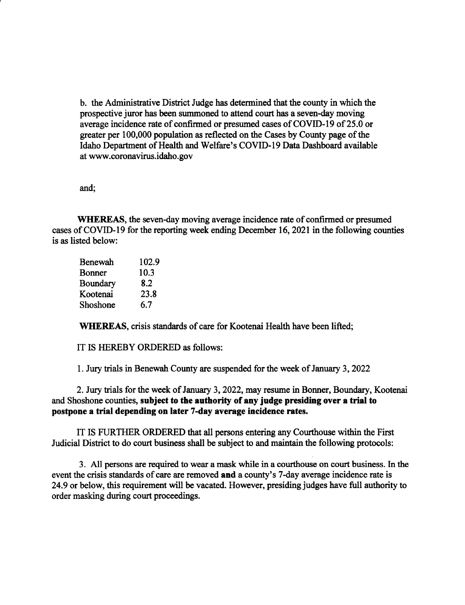b. the Administative Disfrict Judge has determined that the county in which the prospective juror has been summoned to attend court has a seven-day moving average incidence rate of confirmed or presumed cases of COVID-I9 of 25.0 or greater per 100,000 population as reflected on the Cases by County page of the Idaho Deparfrnent of Health and Welfare's COVID-l9 Data Dashboard available at www.coronavinrs. idaho. gov

and;

WHEREAS, the seven-day moving average incidence rate of confirned or presumed cases of COVID-19 for the reporting week ending December 16, 2021 in the following counties is as listed below:

| Benewah       | 102.9 |
|---------------|-------|
| <b>Bonner</b> | 10.3  |
| Boundary      | 8.2   |
| Kootenai      | 23.8  |
| Shoshone      | 6.7   |

WHEREAS, crisis standards of care for Kootenai Health have been lifted;

IT IS HEREBY ORDERED as follows:

1. Jury trials in Benewah County are suspended for the week of January 3,2022

2. Jury trials for the week of January 3, 2022, may resume in Bonner, Boundary, Kootenai and Shoshone counties, subject to the authority of any judge presiding over a trial to postpone a trial depending on later 7-day average incidence rates.

IT IS FURTHER ORDERED that all persons entering any Courthouse within the First Judicial District to do court business shall be subject to and maintain the following protocols:

3. All persons are required to wear a mask while in a courthouse on court business. In the event the crisis standards of care are removed and a county's 7-day average incidence rate is 24.9 or below, this requirement will be vacated. However, presiding judges have full authority to order masking during court proceedings.